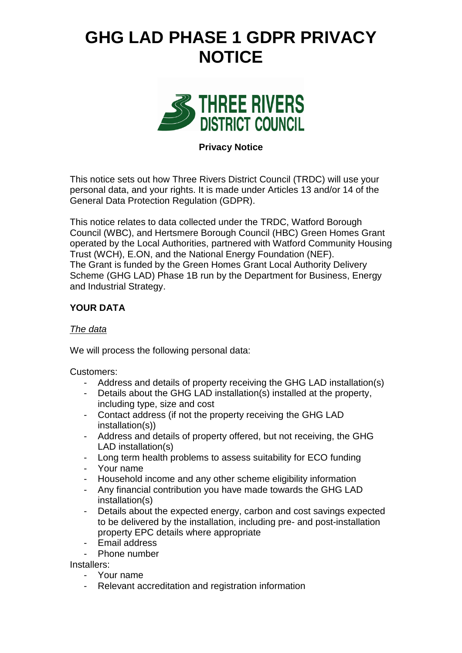

### **Privacy Notice**

This notice sets out how Three Rivers District Council (TRDC) will use your personal data, and your rights. It is made under Articles 13 and/or 14 of the General Data Protection Regulation (GDPR).

This notice relates to data collected under the TRDC, Watford Borough Council (WBC), and Hertsmere Borough Council (HBC) Green Homes Grant operated by the Local Authorities, partnered with Watford Community Housing Trust (WCH), E.ON, and the National Energy Foundation (NEF). The Grant is funded by the Green Homes Grant Local Authority Delivery Scheme (GHG LAD) Phase 1B run by the Department for Business, Energy and Industrial Strategy.

### **YOUR DATA**

#### *The data*

We will process the following personal data:

Customers:

- Address and details of property receiving the GHG LAD installation(s)
- Details about the GHG LAD installation(s) installed at the property, including type, size and cost
- Contact address (if not the property receiving the GHG LAD installation(s))
- Address and details of property offered, but not receiving, the GHG LAD installation(s)
- Long term health problems to assess suitability for ECO funding
- Your name
- Household income and any other scheme eligibility information
- Any financial contribution you have made towards the GHG LAD installation(s)
- Details about the expected energy, carbon and cost savings expected to be delivered by the installation, including pre- and post-installation property EPC details where appropriate
- Email address
- Phone number

Installers:

- Your name
- Relevant accreditation and registration information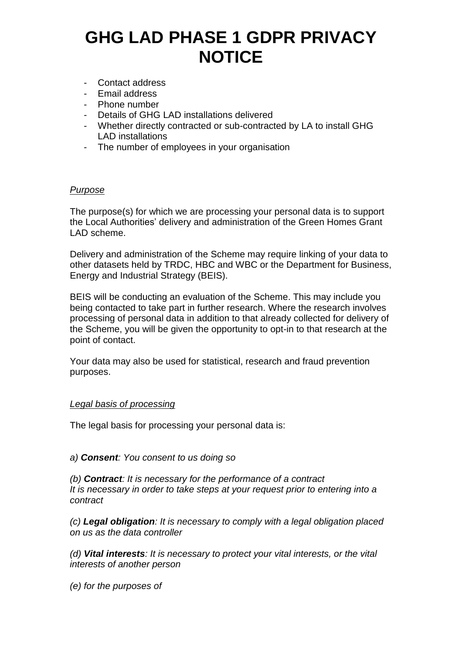- Contact address
- Email address
- Phone number
- Details of GHG LAD installations delivered
- Whether directly contracted or sub-contracted by LA to install GHG LAD installations
- The number of employees in your organisation

### *Purpose*

The purpose(s) for which we are processing your personal data is to support the Local Authorities' delivery and administration of the Green Homes Grant LAD scheme.

Delivery and administration of the Scheme may require linking of your data to other datasets held by TRDC, HBC and WBC or the Department for Business, Energy and Industrial Strategy (BEIS).

BEIS will be conducting an evaluation of the Scheme. This may include you being contacted to take part in further research. Where the research involves processing of personal data in addition to that already collected for delivery of the Scheme, you will be given the opportunity to opt-in to that research at the point of contact.

Your data may also be used for statistical, research and fraud prevention purposes.

## *Legal basis of processing*

The legal basis for processing your personal data is:

#### *a) Consent: You consent to us doing so*

*(b) Contract: It is necessary for the performance of a contract It is necessary in order to take steps at your request prior to entering into a contract* 

*(c) Legal obligation: It is necessary to comply with a legal obligation placed on us as the data controller* 

*(d) Vital interests: It is necessary to protect your vital interests, or the vital interests of another person* 

*(e) for the purposes of*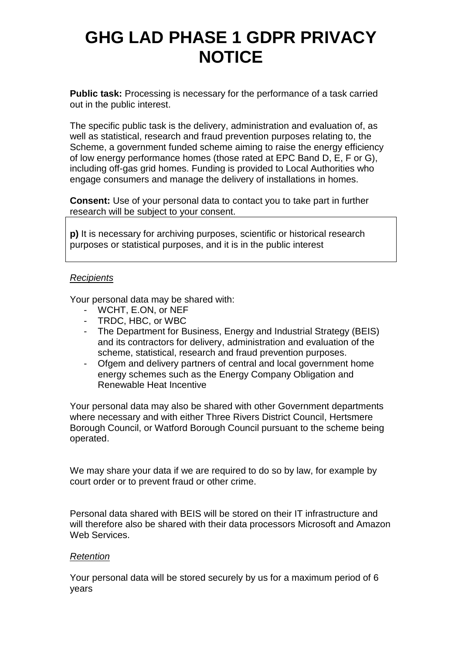**Public task:** Processing is necessary for the performance of a task carried out in the public interest.

The specific public task is the delivery, administration and evaluation of, as well as statistical, research and fraud prevention purposes relating to, the Scheme, a government funded scheme aiming to raise the energy efficiency of low energy performance homes (those rated at EPC Band D, E, F or G), including off-gas grid homes. Funding is provided to Local Authorities who engage consumers and manage the delivery of installations in homes.

**Consent:** Use of your personal data to contact you to take part in further research will be subject to your consent.

**p)** It is necessary for archiving purposes, scientific or historical research purposes or statistical purposes, and it is in the public interest

### *Recipients*

Your personal data may be shared with:

- WCHT, E.ON, or NEF
- TRDC, HBC, or WBC
- The Department for Business, Energy and Industrial Strategy (BEIS) and its contractors for delivery, administration and evaluation of the scheme, statistical, research and fraud prevention purposes.
- Ofgem and delivery partners of central and local government home energy schemes such as the Energy Company Obligation and Renewable Heat Incentive

Your personal data may also be shared with other Government departments where necessary and with either Three Rivers District Council, Hertsmere Borough Council, or Watford Borough Council pursuant to the scheme being operated.

We may share your data if we are required to do so by law, for example by court order or to prevent fraud or other crime.

Personal data shared with BEIS will be stored on their IT infrastructure and will therefore also be shared with their data processors Microsoft and Amazon Web Services.

#### *Retention*

Your personal data will be stored securely by us for a maximum period of 6 years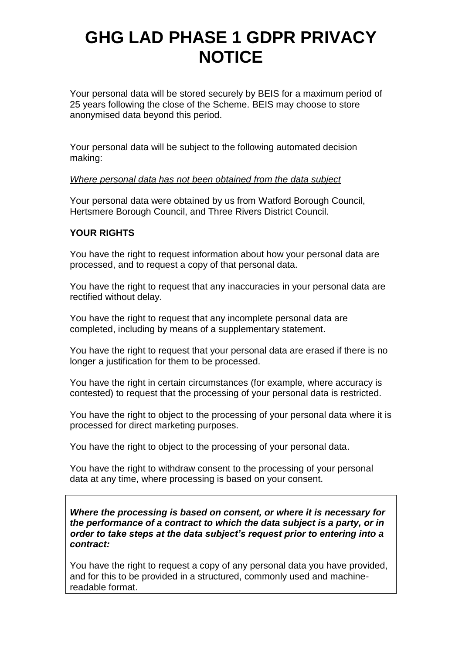Your personal data will be stored securely by BEIS for a maximum period of 25 years following the close of the Scheme. BEIS may choose to store anonymised data beyond this period.

Your personal data will be subject to the following automated decision making:

### *Where personal data has not been obtained from the data subject*

Your personal data were obtained by us from Watford Borough Council, Hertsmere Borough Council, and Three Rivers District Council.

## **YOUR RIGHTS**

You have the right to request information about how your personal data are processed, and to request a copy of that personal data.

You have the right to request that any inaccuracies in your personal data are rectified without delay.

You have the right to request that any incomplete personal data are completed, including by means of a supplementary statement.

You have the right to request that your personal data are erased if there is no longer a justification for them to be processed.

You have the right in certain circumstances (for example, where accuracy is contested) to request that the processing of your personal data is restricted.

You have the right to object to the processing of your personal data where it is processed for direct marketing purposes.

You have the right to object to the processing of your personal data.

You have the right to withdraw consent to the processing of your personal data at any time, where processing is based on your consent.

*Where the processing is based on consent, or where it is necessary for the performance of a contract to which the data subject is a party, or in order to take steps at the data subject's request prior to entering into a contract:*

You have the right to request a copy of any personal data you have provided, and for this to be provided in a structured, commonly used and machinereadable format.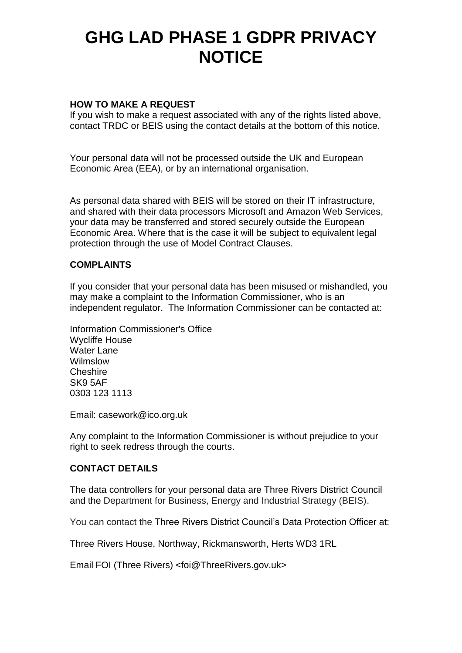### **HOW TO MAKE A REQUEST**

If you wish to make a request associated with any of the rights listed above, contact TRDC or BEIS using the contact details at the bottom of this notice.

Your personal data will not be processed outside the UK and European Economic Area (EEA), or by an international organisation.

As personal data shared with BEIS will be stored on their IT infrastructure, and shared with their data processors Microsoft and Amazon Web Services, your data may be transferred and stored securely outside the European Economic Area. Where that is the case it will be subject to equivalent legal protection through the use of Model Contract Clauses.

#### **COMPLAINTS**

If you consider that your personal data has been misused or mishandled, you may make a complaint to the Information Commissioner, who is an independent regulator. The Information Commissioner can be contacted at:

Information Commissioner's Office Wycliffe House Water Lane Wilmslow **Cheshire** SK9 5AF 0303 123 1113

Email: casework@ico.org.uk

Any complaint to the Information Commissioner is without prejudice to your right to seek redress through the courts.

#### **CONTACT DETAILS**

The data controllers for your personal data are Three Rivers District Council and the Department for Business, Energy and Industrial Strategy (BEIS).

You can contact the Three Rivers District Council's Data Protection Officer at:

Three Rivers House, Northway, Rickmansworth, Herts WD3 1RL

Email FOI (Three Rivers) <foi@ThreeRivers.gov.uk>